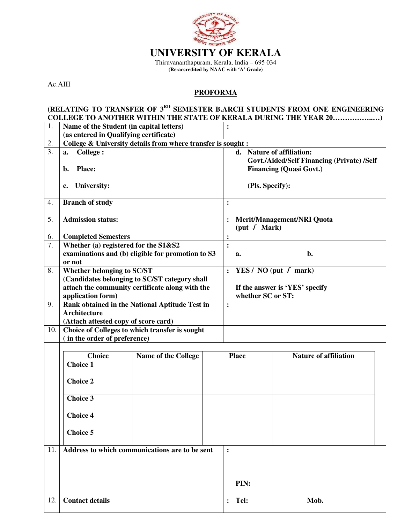

Thiruvananthapuram, Kerala, India – 695 034 **(Re-accredited by NAAC with 'A' Grade)** 

Ac.AIII

## **PROFORMA**

## **(RELATING TO TRANSFER OF 3RD SEMESTER B.ARCH STUDENTS FROM ONE ENGINEERING COLLEGE TO ANOTHER WITHIN THE STATE OF KERALA DURING THE YEAR 20……………..…)**

| 1.  | Name of the Student (in capital letters)                                                            |                                                 |                | $\ddot{\cdot}$                                                                                            |                                                             |  |  |  |
|-----|-----------------------------------------------------------------------------------------------------|-------------------------------------------------|----------------|-----------------------------------------------------------------------------------------------------------|-------------------------------------------------------------|--|--|--|
|     | (as entered in Qualifying certificate)                                                              |                                                 |                |                                                                                                           |                                                             |  |  |  |
| 2.  | College & University details from where transfer is sought :                                        |                                                 |                |                                                                                                           |                                                             |  |  |  |
| 3.  | <b>College:</b><br>a.<br><b>Place:</b><br>b.                                                        |                                                 |                | d. Nature of affiliation:<br>Govt./Aided/Self Financing (Private) /Self<br><b>Financing (Quasi Govt.)</b> |                                                             |  |  |  |
|     | <b>University:</b><br>c.                                                                            |                                                 |                | (Pls. Specify):                                                                                           |                                                             |  |  |  |
| 4.  | <b>Branch of study</b>                                                                              |                                                 | :              |                                                                                                           |                                                             |  |  |  |
| 5.  | <b>Admission status:</b>                                                                            |                                                 |                | $\ddot{\cdot}$                                                                                            | <b>Merit/Management/NRI Quota</b><br>(put $\sqrt{\ }$ Mark) |  |  |  |
| 6.  | <b>Completed Semesters</b>                                                                          |                                                 |                | $\ddot{\cdot}$                                                                                            |                                                             |  |  |  |
| 7.  | Whether (a) registered for the S1&S2<br>examinations and (b) eligible for promotion to S3<br>or not |                                                 | $\ddot{\cdot}$ | b.<br>a.                                                                                                  |                                                             |  |  |  |
| 8.  | Whether belonging to SC/ST                                                                          |                                                 | $\ddot{\cdot}$ | YES / NO (put $\sqrt{\ }$ mark)                                                                           |                                                             |  |  |  |
|     | (Candidates belonging to SC/ST category shall                                                       |                                                 |                |                                                                                                           |                                                             |  |  |  |
|     |                                                                                                     | attach the community certificate along with the |                |                                                                                                           | If the answer is 'YES' specify                              |  |  |  |
|     |                                                                                                     | application form)                               |                |                                                                                                           | whether SC or ST:                                           |  |  |  |
| 9.  | Rank obtained in the National Aptitude Test in                                                      |                                                 |                | $\ddot{\cdot}$                                                                                            |                                                             |  |  |  |
|     | <b>Architecture</b>                                                                                 |                                                 |                |                                                                                                           |                                                             |  |  |  |
|     | (Attach attested copy of score card)                                                                |                                                 |                |                                                                                                           |                                                             |  |  |  |
| 10. | Choice of Colleges to which transfer is sought<br>(in the order of preference)                      |                                                 |                |                                                                                                           |                                                             |  |  |  |
|     |                                                                                                     |                                                 |                |                                                                                                           |                                                             |  |  |  |
|     | <b>Choice</b>                                                                                       | Name of the College                             |                |                                                                                                           | <b>Nature of affiliation</b><br><b>Place</b>                |  |  |  |
|     | <b>Choice 1</b>                                                                                     |                                                 |                |                                                                                                           |                                                             |  |  |  |
|     | <b>Choice 2</b>                                                                                     |                                                 |                |                                                                                                           |                                                             |  |  |  |
|     | <b>Choice 3</b>                                                                                     |                                                 |                |                                                                                                           |                                                             |  |  |  |
|     | <b>Choice 4</b>                                                                                     |                                                 |                |                                                                                                           |                                                             |  |  |  |
|     | <b>Choice 5</b>                                                                                     |                                                 |                |                                                                                                           |                                                             |  |  |  |
| 11. | Address to which communications are to be sent                                                      |                                                 |                | :                                                                                                         |                                                             |  |  |  |
|     |                                                                                                     |                                                 |                |                                                                                                           |                                                             |  |  |  |
|     |                                                                                                     |                                                 |                |                                                                                                           |                                                             |  |  |  |
|     |                                                                                                     |                                                 |                |                                                                                                           |                                                             |  |  |  |
|     |                                                                                                     |                                                 |                |                                                                                                           | PIN:                                                        |  |  |  |
| 12. | <b>Contact details</b>                                                                              |                                                 | $\ddot{\cdot}$ | Tel:                                                                                                      | Mob.                                                        |  |  |  |